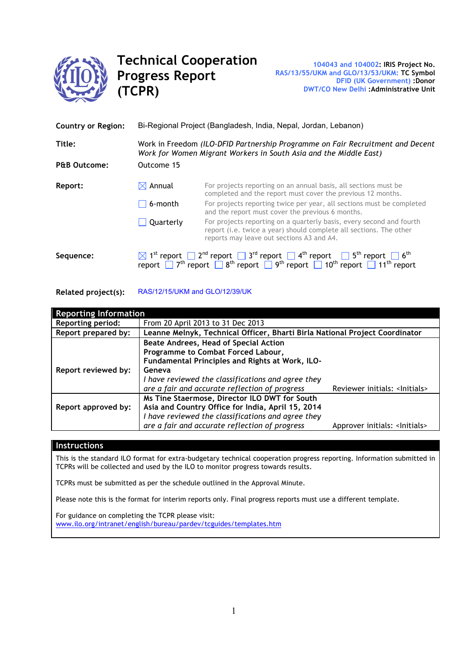

**Technical Cooperation Progress Report (TCPR)**

| <b>Country or Region:</b> | Bi-Regional Project (Bangladesh, India, Nepal, Jordan, Lebanon)                                                                                     |                                                                                                                                                                                                                                                                                                                                   |  |  |  |  |  |
|---------------------------|-----------------------------------------------------------------------------------------------------------------------------------------------------|-----------------------------------------------------------------------------------------------------------------------------------------------------------------------------------------------------------------------------------------------------------------------------------------------------------------------------------|--|--|--|--|--|
| Title:                    | Work in Freedom (ILO-DFID Partnership Programme on Fair Recruitment and Decent<br>Work for Women Migrant Workers in South Asia and the Middle East) |                                                                                                                                                                                                                                                                                                                                   |  |  |  |  |  |
| <b>P&amp;B Outcome:</b>   | Outcome 15                                                                                                                                          |                                                                                                                                                                                                                                                                                                                                   |  |  |  |  |  |
| Report:                   | $\boxtimes$ Annual                                                                                                                                  | For projects reporting on an annual basis, all sections must be<br>completed and the report must cover the previous 12 months.                                                                                                                                                                                                    |  |  |  |  |  |
|                           | 6-month                                                                                                                                             | For projects reporting twice per year, all sections must be completed<br>and the report must cover the previous 6 months.                                                                                                                                                                                                         |  |  |  |  |  |
|                           | Quarterly                                                                                                                                           | For projects reporting on a quarterly basis, every second and fourth<br>report ( <i>i.e.</i> twice a year) should complete all sections. The other<br>reports may leave out sections A3 and A4.                                                                                                                                   |  |  |  |  |  |
| Sequence:                 |                                                                                                                                                     | $\boxtimes$ 1 <sup>st</sup> report $\Box$ 2 <sup>nd</sup> report $\Box$ 3 <sup>rd</sup> report $\Box$ 4 <sup>th</sup> report $\Box$ 5 <sup>th</sup> report $\Box$ 6 <sup>th</sup><br>report $7^{\text{th}}$ 7 <sup>th</sup> report $3^{\text{th}}$ report $19^{\text{th}}$ report $10^{\text{th}}$ report $11^{\text{th}}$ report |  |  |  |  |  |

### **Related project(s):** RAS/12/15/UKM and GLO/12/39/UK

| <b>Reporting Information</b> |                                                                                            |                                          |  |  |  |
|------------------------------|--------------------------------------------------------------------------------------------|------------------------------------------|--|--|--|
| <b>Reporting period:</b>     | From 20 April 2013 to 31 Dec 2013                                                          |                                          |  |  |  |
| Report prepared by:          | Leanne Melnyk, Technical Officer, Bharti Birla National Project Coordinator                |                                          |  |  |  |
|                              | <b>Beate Andrees, Head of Special Action</b>                                               |                                          |  |  |  |
|                              | Programme to Combat Forced Labour,                                                         |                                          |  |  |  |
|                              | Fundamental Principles and Rights at Work, ILO-                                            |                                          |  |  |  |
| Report reviewed by:          | Geneva                                                                                     |                                          |  |  |  |
|                              | I have reviewed the classifications and agree they                                         |                                          |  |  |  |
|                              | are a fair and accurate reflection of progress<br>Reviewer initials: <lnitials></lnitials> |                                          |  |  |  |
|                              | Ms Tine Staermose, Director ILO DWT for South                                              |                                          |  |  |  |
| Report approved by:          | Asia and Country Office for India, April 15, 2014                                          |                                          |  |  |  |
|                              | I have reviewed the classifications and agree they                                         |                                          |  |  |  |
|                              | are a fair and accurate reflection of progress                                             | Approver initials: <lnitials></lnitials> |  |  |  |

#### **Instructions**

This is the standard ILO format for extra-budgetary technical cooperation progress reporting. Information submitted in TCPRs will be collected and used by the ILO to monitor progress towards results.

TCPRs must be submitted as per the schedule outlined in the Approval Minute.

Please note this is the format for interim reports only. Final progress reports must use a different template.

For guidance on completing the TCPR please visit: www.ilo.org/intranet/english/bureau/pardev/tcguides/templates.htm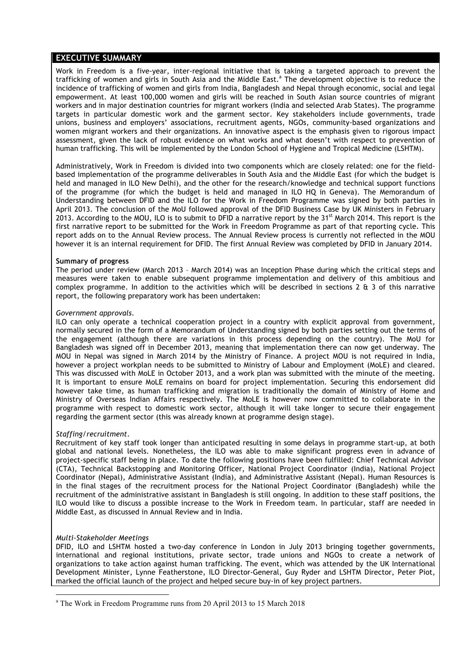#### **EXECUTIVE SUMMARY**

Work in Freedom is a five-year, inter-regional initiative that is taking a targeted approach to prevent the trafficking of women and girls in South Asia and the Middle East.<sup>a</sup> The development objective is to reduce the incidence of trafficking of women and girls from India, Bangladesh and Nepal through economic, social and legal empowerment. At least 100,000 women and girls will be reached in South Asian source countries of migrant workers and in major destination countries for migrant workers (India and selected Arab States). The programme targets in particular domestic work and the garment sector. Key stakeholders include governments, trade unions, business and employers' associations, recruitment agents, NGOs, community-based organizations and women migrant workers and their organizations. An innovative aspect is the emphasis given to rigorous impact assessment, given the lack of robust evidence on what works and what doesn't with respect to prevention of human trafficking. This will be implemented by the London School of Hygiene and Tropical Medicine (LSHTM).

Administratively, Work in Freedom is divided into two components which are closely related: one for the fieldbased implementation of the programme deliverables in South Asia and the Middle East (for which the budget is held and managed in ILO New Delhi), and the other for the research/knowledge and technical support functions of the programme (for which the budget is held and managed in ILO HQ in Geneva). The Memorandum of Understanding between DFID and the ILO for the Work in Freedom Programme was signed by both parties in April 2013. The conclusion of the MoU followed approval of the DFID Business Case by UK Ministers in February 2013. According to the MOU, ILO is to submit to DFID a narrative report by the  $31^{st}$  March 2014. This report is the first narrative report to be submitted for the Work in Freedom Programme as part of that reporting cycle. This report adds on to the Annual Review process. The Annual Review process is currently not reflected in the MOU however it is an internal requirement for DFID. The first Annual Review was completed by DFID in January 2014.

#### **Summary of progress**

The period under review (March 2013 – March 2014) was an Inception Phase during which the critical steps and measures were taken to enable subsequent programme implementation and delivery of this ambitious and complex programme. In addition to the activities which will be described in sections 2 & 3 of this narrative report, the following preparatory work has been undertaken:

#### *Government approvals*.

ILO can only operate a technical cooperation project in a country with explicit approval from government, normally secured in the form of a Memorandum of Understanding signed by both parties setting out the terms of the engagement (although there are variations in this process depending on the country). The MoU for Bangladesh was signed off in December 2013, meaning that implementation there can now get underway. The MOU in Nepal was signed in March 2014 by the Ministry of Finance. A project MOU is not required in India, however a project workplan needs to be submitted to Ministry of Labour and Employment (MoLE) and cleared. This was discussed with MoLE in October 2013, and a work plan was submitted with the minute of the meeting. It is important to ensure MoLE remains on board for project implementation. Securing this endorsement did however take time, as human trafficking and migration is traditionally the domain of Ministry of Home and Ministry of Overseas Indian Affairs respectively. The MoLE is however now committed to collaborate in the programme with respect to domestic work sector, although it will take longer to secure their engagement regarding the garment sector (this was already known at programme design stage).

#### *Staffing/recruitment*.

Recruitment of key staff took longer than anticipated resulting in some delays in programme start-up, at both global and national levels. Nonetheless, the ILO was able to make significant progress even in advance of project-specific staff being in place. To date the following positions have been fulfilled: Chief Technical Advisor (CTA), Technical Backstopping and Monitoring Officer, National Project Coordinator (India), National Project Coordinator (Nepal), Administrative Assistant (India), and Administrative Assistant (Nepal). Human Resources is in the final stages of the recruitment process for the National Project Coordinator (Bangladesh) while the recruitment of the administrative assistant in Bangladesh is still ongoing. In addition to these staff positions, the ILO would like to discuss a possible increase to the Work in Freedom team. In particular, staff are needed in Middle East, as discussed in Annual Review and in India.

#### *Multi-Stakeholder Meetings*

DFID, ILO and LSHTM hosted a two-day conference in London in July 2013 bringing together governments, international and regional institutions, private sector, trade unions and NGOs to create a network of organizations to take action against human trafficking. The event, which was attended by the UK International Development Minister, Lynne Featherstone, ILO Director-General, Guy Ryder and LSHTM Director, Peter Piot, marked the official launch of the project and helped secure buy-in of key project partners.

<sup>&</sup>lt;sup>a</sup> The Work in Freedom Programme runs from 20 April 2013 to 15 March 2018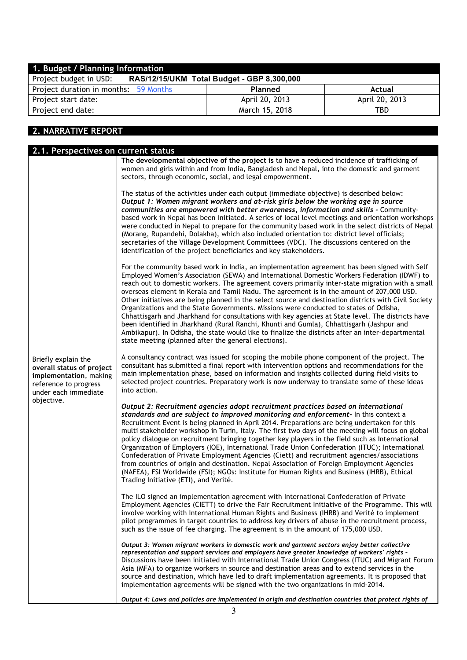| 1. Budget / Planning Information                                  |                |                |  |  |  |
|-------------------------------------------------------------------|----------------|----------------|--|--|--|
| Project budget in USD: RAS/12/15/UKM Total Budget - GBP 8,300,000 |                |                |  |  |  |
| Project duration in months: 59 Months                             | Planned        | Actual         |  |  |  |
| Project start date:                                               | April 20, 2013 | April 20, 2013 |  |  |  |
| Project end date:                                                 | March 15, 2018 | TBD            |  |  |  |

### **2. NARRATIVE REPORT**

| 2.1. Perspectives on current status                                                                                         |                                                                                                                                                                                                                                                                                                                                                                                                                                                                                                                                                                                                                                                                                                                                                                                                                                                                                                                                                              |
|-----------------------------------------------------------------------------------------------------------------------------|--------------------------------------------------------------------------------------------------------------------------------------------------------------------------------------------------------------------------------------------------------------------------------------------------------------------------------------------------------------------------------------------------------------------------------------------------------------------------------------------------------------------------------------------------------------------------------------------------------------------------------------------------------------------------------------------------------------------------------------------------------------------------------------------------------------------------------------------------------------------------------------------------------------------------------------------------------------|
|                                                                                                                             | The developmental objective of the project is to have a reduced incidence of trafficking of<br>women and girls within and from India, Bangladesh and Nepal, into the domestic and garment<br>sectors, through economic, social, and legal empowerment.                                                                                                                                                                                                                                                                                                                                                                                                                                                                                                                                                                                                                                                                                                       |
|                                                                                                                             | The status of the activities under each output (immediate objective) is described below:<br>Output 1: Women migrant workers and at-risk girls below the working age in source<br>communities are empowered with better awareness, information and skills - Community-<br>based work in Nepal has been initiated. A series of local level meetings and orientation workshops<br>were conducted in Nepal to prepare for the community based work in the select districts of Nepal<br>(Morang, Rupandehi, Dolakha), which also included orientation to: district level officials;<br>secretaries of the Village Development Committees (VDC). The discussions centered on the<br>identification of the project beneficiaries and key stakeholders.                                                                                                                                                                                                              |
|                                                                                                                             | For the community based work in India, an implementation agreement has been signed with Self<br>Employed Women's Association (SEWA) and International Domestic Workers Federation (IDWF) to<br>reach out to domestic workers. The agreement covers primarily inter-state migration with a small<br>overseas element in Kerala and Tamil Nadu. The agreement is in the amount of 207,000 USD.<br>Other initiatives are being planned in the select source and destination districts with Civil Society<br>Organizations and the State Governments. Missions were conducted to states of Odisha,<br>Chhattisgarh and Jharkhand for consultations with key agencies at State level. The districts have<br>been identified in Jharkhand (Rural Ranchi, Khunti and Gumla), Chhattisgarh (Jashpur and<br>Ambikapur). In Odisha, the state would like to finalize the districts after an inter-departmental<br>state meeting (planned after the general elections). |
| Briefly explain the<br>overall status of project<br>implementation, making<br>reference to progress<br>under each immediate | A consultancy contract was issued for scoping the mobile phone component of the project. The<br>consultant has submitted a final report with intervention options and recommendations for the<br>main implementation phase, based on information and insights collected during field visits to<br>selected project countries. Preparatory work is now underway to translate some of these ideas<br>into action.                                                                                                                                                                                                                                                                                                                                                                                                                                                                                                                                              |
| objective.                                                                                                                  | Output 2: Recruitment agencies adopt recruitment practices based on international<br>standards and are subject to improved monitoring and enforcement- In this context a<br>Recruitment Event is being planned in April 2014. Preparations are being undertaken for this<br>multi stakeholder workshop in Turin, Italy. The first two days of the meeting will focus on global<br>policy dialogue on recruitment bringing together key players in the field such as International<br>Organization of Employers (IOE), International Trade Union Confederation (ITUC); International<br>Confederation of Private Employment Agencies (Ciett) and recruitment agencies/associations<br>from countries of origin and destination. Nepal Association of Foreign Employment Agencies<br>(NAFEA), FSI Worldwide (FSI); NGOs: Institute for Human Rights and Business (IHRB), Ethical<br>Trading Initiative (ETI), and Verité.                                      |
|                                                                                                                             | The ILO signed an implementation agreement with International Confederation of Private<br>Employment Agencies (CIETT) to drive the Fair Recruitment Initiative of the Programme. This will<br>involve working with International Human Rights and Business (IHRB) and Verité to implement<br>pilot programmes in target countries to address key drivers of abuse in the recruitment process,<br>such as the issue of fee charging. The agreement is in the amount of 175,000 USD.                                                                                                                                                                                                                                                                                                                                                                                                                                                                           |
|                                                                                                                             | Output 3: Women migrant workers in domestic work and garment sectors enjoy better collective<br>representation and support services and employers have greater knowledge of workers' rights -<br>Discussions have been initiated with International Trade Union Congress (ITUC) and Migrant Forum<br>Asia (MFA) to organize workers in source and destination areas and to extend services in the<br>source and destination, which have led to draft implementation agreements. It is proposed that<br>implementation agreements will be signed with the two organizations in mid-2014.                                                                                                                                                                                                                                                                                                                                                                      |
|                                                                                                                             | Output 4: Laws and policies are implemented in origin and destination countries that protect rights of                                                                                                                                                                                                                                                                                                                                                                                                                                                                                                                                                                                                                                                                                                                                                                                                                                                       |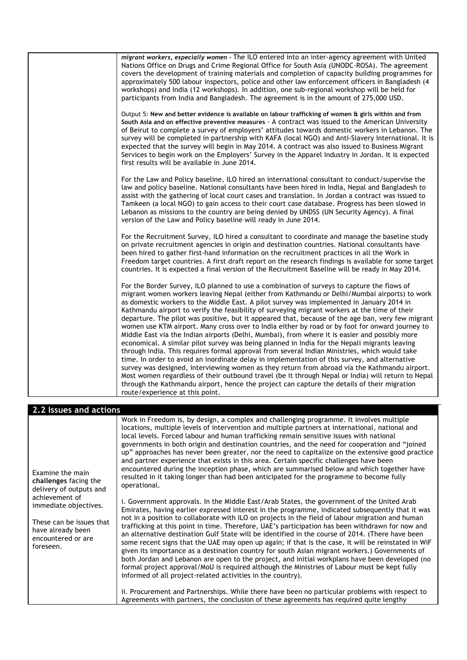| migrant workers, especially women - The ILO entered into an inter-agency agreement with United<br>Nations Office on Drugs and Crime Regional Office for South Asia (UNODC-ROSA). The agreement<br>covers the development of training materials and completion of capacity building programmes for<br>approximately 500 labour inspectors, police and other law enforcement officers in Bangladesh (4<br>workshops) and India (12 workshops). In addition, one sub-regional workshop will be held for<br>participants from India and Bangladesh. The agreement is in the amount of 275,000 USD.                                                                                                                                                                                                                                                                                                                                                                                                                                                                                                                                                                                                                                                                                                                                                 |
|------------------------------------------------------------------------------------------------------------------------------------------------------------------------------------------------------------------------------------------------------------------------------------------------------------------------------------------------------------------------------------------------------------------------------------------------------------------------------------------------------------------------------------------------------------------------------------------------------------------------------------------------------------------------------------------------------------------------------------------------------------------------------------------------------------------------------------------------------------------------------------------------------------------------------------------------------------------------------------------------------------------------------------------------------------------------------------------------------------------------------------------------------------------------------------------------------------------------------------------------------------------------------------------------------------------------------------------------|
| Output 5: New and better evidence is available on labour trafficking of women & girls within and from<br>South Asia and on effective preventive measures - A contract was issued to the American University<br>of Beirut to complete a survey of employers' attitudes towards domestic workers in Lebanon. The<br>survey will be completed in partnership with KAFA (local NGO) and Anti-Slavery International. It is<br>expected that the survey will begin in May 2014. A contract was also issued to Business Migrant<br>Services to begin work on the Employers' Survey in the Apparel Industry in Jordan. It is expected<br>first results will be available in June 2014.                                                                                                                                                                                                                                                                                                                                                                                                                                                                                                                                                                                                                                                                 |
| For the Law and Policy baseline, ILO hired an international consultant to conduct/supervise the<br>law and policy baseline. National consultants have been hired in India, Nepal and Bangladesh to<br>assist with the gathering of local court cases and translation. In Jordan a contract was issued to<br>Tamkeen (a local NGO) to gain access to their court case database. Progress has been slowed in<br>Lebanon as missions to the country are being denied by UNDSS (UN Security Agency). A final<br>version of the Law and Policy baseline will ready in June 2014.                                                                                                                                                                                                                                                                                                                                                                                                                                                                                                                                                                                                                                                                                                                                                                    |
| For the Recruitment Survey, ILO hired a consultant to coordinate and manage the baseline study<br>on private recruitment agencies in origin and destination countries. National consultants have<br>been hired to gather first-hand information on the recruitment practices in all the Work in<br>Freedom target countries. A first draft report on the research findings is available for some target<br>countries. It is expected a final version of the Recruitment Baseline will be ready in May 2014.                                                                                                                                                                                                                                                                                                                                                                                                                                                                                                                                                                                                                                                                                                                                                                                                                                    |
| For the Border Survey, ILO planned to use a combination of surveys to capture the flows of<br>migrant women workers leaving Nepal (either from Kathmandu or Delhi/Mumbai airports) to work<br>as domestic workers to the Middle East. A pilot survey was implemented in January 2014 in<br>Kathmandu airport to verify the feasibility of surveying migrant workers at the time of their<br>departure. The pilot was positive, but it appeared that, because of the age ban, very few migrant<br>women use KTM airport. Many cross over to India either by road or by foot for onward journey to<br>Middle East via the Indian airports (Delhi, Mumbai), from where it is easier and possibly more<br>economical. A similar pilot survey was being planned in India for the Nepali migrants leaving<br>through India. This requires formal approval from several Indian Ministries, which would take<br>time. In order to avoid an inordinate delay in implementation of this survey, and alternative<br>survey was designed, interviewing women as they return from abroad via the Kathmandu airport.<br>Most women regardless of their outbound travel (be it through Nepal or India) will return to Nepal<br>through the Kathmandu airport, hence the project can capture the details of their migration<br>route/experience at this point. |

| 2.2 Issues and actions                                                                                                                                                                                                                                                                                                                                                                                                                                                                                                                                                                                                                                                                                                                                                                                                                                                                                                                                                                                                                                                                                                                                                                                                                                                                                                                                                                                                                                                                                                                                                                                                                                                                                                                                                                   |
|------------------------------------------------------------------------------------------------------------------------------------------------------------------------------------------------------------------------------------------------------------------------------------------------------------------------------------------------------------------------------------------------------------------------------------------------------------------------------------------------------------------------------------------------------------------------------------------------------------------------------------------------------------------------------------------------------------------------------------------------------------------------------------------------------------------------------------------------------------------------------------------------------------------------------------------------------------------------------------------------------------------------------------------------------------------------------------------------------------------------------------------------------------------------------------------------------------------------------------------------------------------------------------------------------------------------------------------------------------------------------------------------------------------------------------------------------------------------------------------------------------------------------------------------------------------------------------------------------------------------------------------------------------------------------------------------------------------------------------------------------------------------------------------|
| Work in Freedom is, by design, a complex and challenging programme. It involves multiple<br>locations, multiple levels of intervention and multiple partners at international, national and<br>local levels. Forced labour and human trafficking remain sensitive issues with national<br>governments in both origin and destination countries, and the need for cooperation and "joined<br>up" approaches has never been greater, nor the need to capitalize on the extensive good practice<br>and partner experience that exists in this area. Certain specific challenges have been<br>encountered during the inception phase, which are summarised below and which together have<br>resulted in it taking longer than had been anticipated for the programme to become fully<br>operational.<br>i. Government approvals. In the Middle East/Arab States, the government of the United Arab<br>Emirates, having earlier expressed interest in the programme, indicated subsequently that it was<br>not in a position to collaborate with ILO on projects in the field of labour migration and human<br>trafficking at this point in time. Therefore, UAE's participation has been withdrawn for now and<br>an alternative destination Gulf State will be identified in the course of 2014. (There have been<br>some recent signs that the UAE may open up again; if that is the case, it will be reinstated in WiF<br>given its importance as a destination country for south Asian migrant workers.) Governments of<br>both Jordan and Lebanon are open to the project, and initial workplans have been developed (no<br>formal project approval/MoU is required although the Ministries of Labour must be kept fully<br>informed of all project-related activities in the country). |
| ii. Procurement and Partnerships. While there have been no particular problems with respect to<br>Agreements with partners, the conclusion of these agreements has required quite lengthy                                                                                                                                                                                                                                                                                                                                                                                                                                                                                                                                                                                                                                                                                                                                                                                                                                                                                                                                                                                                                                                                                                                                                                                                                                                                                                                                                                                                                                                                                                                                                                                                |
|                                                                                                                                                                                                                                                                                                                                                                                                                                                                                                                                                                                                                                                                                                                                                                                                                                                                                                                                                                                                                                                                                                                                                                                                                                                                                                                                                                                                                                                                                                                                                                                                                                                                                                                                                                                          |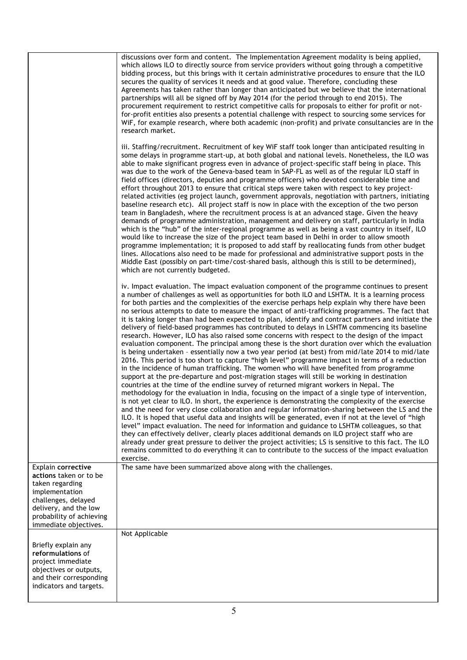|                                                                                                                                                                                        | discussions over form and content. The Implementation Agreement modality is being applied,<br>which allows ILO to directly source from service providers without going through a competitive<br>bidding process, but this brings with it certain administrative procedures to ensure that the ILO<br>secures the quality of services it needs and at good value. Therefore, concluding these<br>Agreements has taken rather than longer than anticipated but we believe that the international<br>partnerships will all be signed off by May 2014 (for the period through to end 2015). The<br>procurement requirement to restrict competitive calls for proposals to either for profit or not-<br>for-profit entities also presents a potential challenge with respect to sourcing some services for<br>WiF, for example research, where both academic (non-profit) and private consultancies are in the<br>research market.                                                                                                                                                                                                                                                                                                                                                                                                                                                                                                                                                                                                                                                                                                                                                                                                                                                                                                                                                                                                                                                                                                                                                                                                                             |
|----------------------------------------------------------------------------------------------------------------------------------------------------------------------------------------|-----------------------------------------------------------------------------------------------------------------------------------------------------------------------------------------------------------------------------------------------------------------------------------------------------------------------------------------------------------------------------------------------------------------------------------------------------------------------------------------------------------------------------------------------------------------------------------------------------------------------------------------------------------------------------------------------------------------------------------------------------------------------------------------------------------------------------------------------------------------------------------------------------------------------------------------------------------------------------------------------------------------------------------------------------------------------------------------------------------------------------------------------------------------------------------------------------------------------------------------------------------------------------------------------------------------------------------------------------------------------------------------------------------------------------------------------------------------------------------------------------------------------------------------------------------------------------------------------------------------------------------------------------------------------------------------------------------------------------------------------------------------------------------------------------------------------------------------------------------------------------------------------------------------------------------------------------------------------------------------------------------------------------------------------------------------------------------------------------------------------------------------------------------|
|                                                                                                                                                                                        | iii. Staffing/recruitment. Recruitment of key WiF staff took longer than anticipated resulting in<br>some delays in programme start-up, at both global and national levels. Nonetheless, the ILO was<br>able to make significant progress even in advance of project-specific staff being in place. This<br>was due to the work of the Geneva-based team in SAP-FL as well as of the regular ILO staff in<br>field offices (directors, deputies and programme officers) who devoted considerable time and<br>effort throughout 2013 to ensure that critical steps were taken with respect to key project-<br>related activities (eg project launch, government approvals, negotiation with partners, initiating<br>baseline research etc). All project staff is now in place with the exception of the two person<br>team in Bangladesh, where the recruitment process is at an advanced stage. Given the heavy<br>demands of programme administration, management and delivery on staff, particularly in India<br>which is the "hub" of the inter-regional programme as well as being a vast country in itself, ILO<br>would like to increase the size of the project team based in Delhi in order to allow smooth<br>programme implementation; it is proposed to add staff by reallocating funds from other budget<br>lines. Allocations also need to be made for professional and administrative support posts in the<br>Middle East (possibly on part-time/cost-shared basis, although this is still to be determined),<br>which are not currently budgeted.                                                                                                                                                                                                                                                                                                                                                                                                                                                                                                                                                                                          |
|                                                                                                                                                                                        | iv. Impact evaluation. The impact evaluation component of the programme continues to present<br>a number of challenges as well as opportunities for both ILO and LSHTM. It is a learning process<br>for both parties and the complexities of the exercise perhaps help explain why there have been<br>no serious attempts to date to measure the impact of anti-trafficking programmes. The fact that<br>it is taking longer than had been expected to plan, identify and contract partners and initiate the<br>delivery of field-based programmes has contributed to delays in LSHTM commencing its baseline<br>research. However, ILO has also raised some concerns with respect to the design of the impact<br>evaluation component. The principal among these is the short duration over which the evaluation<br>is being undertaken - essentially now a two year period (at best) from mid/late 2014 to mid/late<br>2016. This period is too short to capture "high level" programme impact in terms of a reduction<br>in the incidence of human trafficking. The women who will have benefited from programme<br>support at the pre-departure and post-migration stages will still be working in destination<br>countries at the time of the endline survey of returned migrant workers in Nepal. The<br>methodology for the evaluation in India, focusing on the impact of a single type of intervention,<br>is not yet clear to ILO. In short, the experience is demonstrating the complexity of the exercise<br>and the need for very close collaboration and regular information-sharing between the LS and the<br>ILO. It is hoped that useful data and insights will be generated, even if not at the level of "high<br>level" impact evaluation. The need for information and guidance to LSHTM colleagues, so that<br>they can effectively deliver, clearly places additional demands on ILO project staff who are<br>already under great pressure to deliver the project activities; LS is sensitive to this fact. The ILO<br>remains committed to do everything it can to contribute to the success of the impact evaluation<br>exercise. |
| Explain corrective<br>actions taken or to be<br>taken regarding<br>implementation<br>challenges, delayed<br>delivery, and the low<br>probability of achieving<br>immediate objectives. | The same have been summarized above along with the challenges.                                                                                                                                                                                                                                                                                                                                                                                                                                                                                                                                                                                                                                                                                                                                                                                                                                                                                                                                                                                                                                                                                                                                                                                                                                                                                                                                                                                                                                                                                                                                                                                                                                                                                                                                                                                                                                                                                                                                                                                                                                                                                            |
| Briefly explain any<br>reformulations of<br>project immediate<br>objectives or outputs,<br>and their corresponding<br>indicators and targets.                                          | Not Applicable                                                                                                                                                                                                                                                                                                                                                                                                                                                                                                                                                                                                                                                                                                                                                                                                                                                                                                                                                                                                                                                                                                                                                                                                                                                                                                                                                                                                                                                                                                                                                                                                                                                                                                                                                                                                                                                                                                                                                                                                                                                                                                                                            |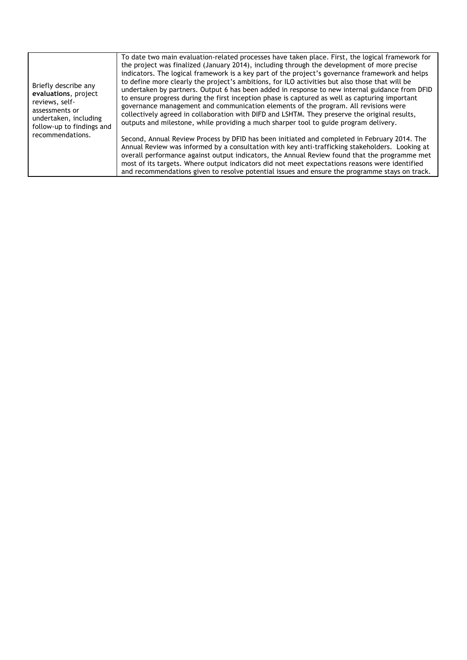| Briefly describe any<br>evaluations, project<br>reviews, self-<br>assessments or<br>undertaken, including<br>follow-up to findings and<br>recommendations. | To date two main evaluation-related processes have taken place. First, the logical framework for<br>the project was finalized (January 2014), including through the development of more precise<br>indicators. The logical framework is a key part of the project's governance framework and helps<br>to define more clearly the project's ambitions, for ILO activities but also those that will be<br>undertaken by partners. Output 6 has been added in response to new internal guidance from DFID<br>to ensure progress during the first inception phase is captured as well as capturing important<br>governance management and communication elements of the program. All revisions were<br>collectively agreed in collaboration with DIFD and LSHTM. They preserve the original results,<br>outputs and milestone, while providing a much sharper tool to guide program delivery. |
|------------------------------------------------------------------------------------------------------------------------------------------------------------|-------------------------------------------------------------------------------------------------------------------------------------------------------------------------------------------------------------------------------------------------------------------------------------------------------------------------------------------------------------------------------------------------------------------------------------------------------------------------------------------------------------------------------------------------------------------------------------------------------------------------------------------------------------------------------------------------------------------------------------------------------------------------------------------------------------------------------------------------------------------------------------------|
|                                                                                                                                                            | Second, Annual Review Process by DFID has been initiated and completed in February 2014. The<br>Annual Review was informed by a consultation with key anti-trafficking stakeholders. Looking at<br>overall performance against output indicators, the Annual Review found that the programme met<br>most of its targets. Where output indicators did not meet expectations reasons were identified<br>and recommendations given to resolve potential issues and ensure the programme stays on track.                                                                                                                                                                                                                                                                                                                                                                                      |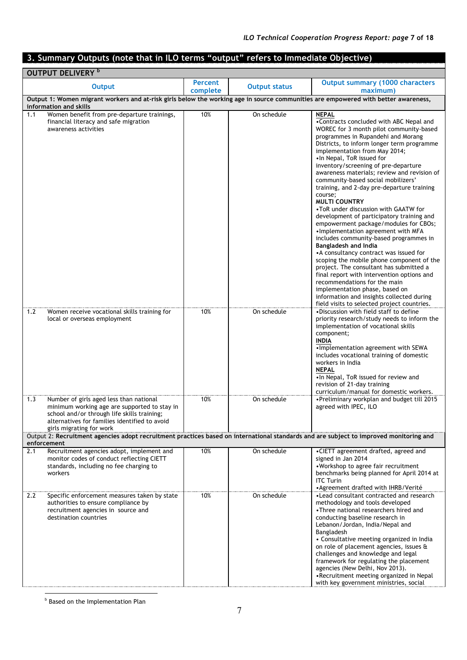# **3. Summary Outputs (note that in ILO terms "output" refers to Immediate Objective)**

| OUTPUT DELIVERY <sup>b</sup> |                                                                                                                                                                                                                     |                            |                      |                                                                                                                                                                                                                                                                                                                                                                                                                                                                                                                                                                                                                                                                                                                                                                                                                                                                                                                                                                                                                                                                |
|------------------------------|---------------------------------------------------------------------------------------------------------------------------------------------------------------------------------------------------------------------|----------------------------|----------------------|----------------------------------------------------------------------------------------------------------------------------------------------------------------------------------------------------------------------------------------------------------------------------------------------------------------------------------------------------------------------------------------------------------------------------------------------------------------------------------------------------------------------------------------------------------------------------------------------------------------------------------------------------------------------------------------------------------------------------------------------------------------------------------------------------------------------------------------------------------------------------------------------------------------------------------------------------------------------------------------------------------------------------------------------------------------|
|                              | <b>Output</b>                                                                                                                                                                                                       | <b>Percent</b><br>complete | <b>Output status</b> | <b>Output summary (1000 characters</b><br>maximum)                                                                                                                                                                                                                                                                                                                                                                                                                                                                                                                                                                                                                                                                                                                                                                                                                                                                                                                                                                                                             |
|                              | Output 1: Women migrant workers and at-risk girls below the working age in source communities are empowered with better awareness,<br>information and skills                                                        |                            |                      |                                                                                                                                                                                                                                                                                                                                                                                                                                                                                                                                                                                                                                                                                                                                                                                                                                                                                                                                                                                                                                                                |
| 1.1                          | Women benefit from pre-departure trainings,<br>financial literacy and safe migration<br>awareness activities                                                                                                        | 10%                        | On schedule          | <b>NEPAL</b><br>•Contracts concluded with ABC Nepal and<br>WOREC for 3 month pilot community-based<br>programmes in Rupandehi and Morang<br>Districts, to inform longer term programme<br>implementation from May 2014;<br>. In Nepal, ToR issued for<br>inventory/screening of pre-departure<br>awareness materials; review and revision of<br>community-based social mobilizers'<br>training, and 2-day pre-departure training<br>course;<br><b>MULTI COUNTRY</b><br>•ToR under discussion with GAATW for<br>development of participatory training and<br>empowerment package/modules for CBOs;<br>•Implementation agreement with MFA<br>includes community-based programmes in<br><b>Bangladesh and India</b><br>•A consultancy contract was issued for<br>scoping the mobile phone component of the<br>project. The consultant has submitted a<br>final report with intervention options and<br>recommendations for the main<br>implementation phase, based on<br>information and insights collected during<br>field visits to selected project countries. |
| 1.2                          | Women receive vocational skills training for<br>local or overseas employment                                                                                                                                        | 10%                        | On schedule          | •Discussion with field staff to define<br>priority research/study needs to inform the<br>implementation of vocational skills<br>component;<br><b>INDIA</b><br>•Implementation agreement with SEWA<br>includes vocational training of domestic<br>workers in India<br><b>NEPAL</b><br>. In Nepal, ToR issued for review and<br>revision of 21-day training<br>curriculum/manual for domestic workers.                                                                                                                                                                                                                                                                                                                                                                                                                                                                                                                                                                                                                                                           |
| 1.3                          | Number of girls aged less than national<br>minimum working age are supported to stay in<br>school and/or through life skills training;<br>alternatives for families identified to avoid<br>girls migrating for work | 10%                        | On schedule          | •Preliminary workplan and budget till 2015<br>agreed with IPEC, ILO                                                                                                                                                                                                                                                                                                                                                                                                                                                                                                                                                                                                                                                                                                                                                                                                                                                                                                                                                                                            |
|                              | Output 2: Recruitment agencies adopt recruitment practices based on international standards and are subject to improved monitoring and<br>enforcement                                                               |                            |                      |                                                                                                                                                                                                                                                                                                                                                                                                                                                                                                                                                                                                                                                                                                                                                                                                                                                                                                                                                                                                                                                                |
| 2.1                          | Recruitment agencies adopt, implement and<br>monitor codes of conduct reflecting CIETT<br>standards, including no fee charging to<br>workers                                                                        | 10%                        | On schedule          | •CIETT agreement drafted, agreed and<br>signed in Jan 2014<br>•Workshop to agree fair recruitment<br>benchmarks being planned for April 2014 at<br><b>ITC Turin</b><br>•Agreement drafted with IHRB/Verité                                                                                                                                                                                                                                                                                                                                                                                                                                                                                                                                                                                                                                                                                                                                                                                                                                                     |
| 2.2                          | Specific enforcement measures taken by state<br>authorities to ensure compliance by<br>recruitment agencies in source and<br>destination countries                                                                  | 10%                        | On schedule          | •Lead consultant contracted and research<br>methodology and tools developed<br>•Three national researchers hired and<br>conducting baseline research in<br>Lebanon/Jordan, India/Nepal and<br>Bangladesh<br>• Consultative meeting organized in India<br>on role of placement agencies, issues &<br>challenges and knowledge and legal<br>framework for regulating the placement<br>agencies (New Delhi, Nov 2013).<br>•Recruitment meeting organized in Nepal<br>with key government ministries, social                                                                                                                                                                                                                                                                                                                                                                                                                                                                                                                                                       |

**b** Based on the Implementation Plan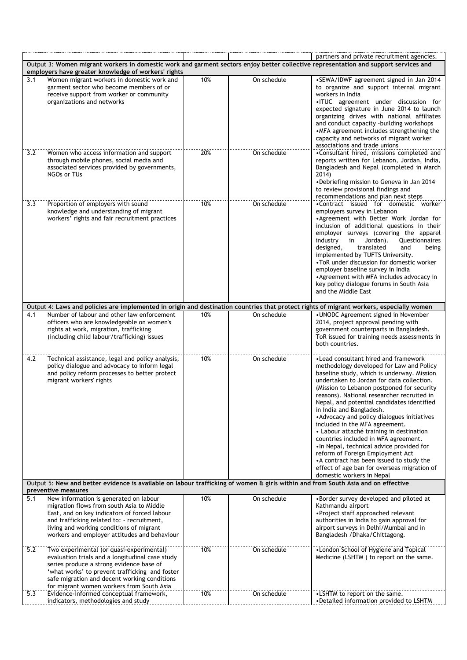|                                                                                                                                                          |                                                                                                                                                                                                                                                                                        |     |             | partners and private recruitment agencies.                                                                                                                                                                                                                                                                                                                                                                                                                                                                                                                                                                                                                                                                                       |  |  |
|----------------------------------------------------------------------------------------------------------------------------------------------------------|----------------------------------------------------------------------------------------------------------------------------------------------------------------------------------------------------------------------------------------------------------------------------------------|-----|-------------|----------------------------------------------------------------------------------------------------------------------------------------------------------------------------------------------------------------------------------------------------------------------------------------------------------------------------------------------------------------------------------------------------------------------------------------------------------------------------------------------------------------------------------------------------------------------------------------------------------------------------------------------------------------------------------------------------------------------------------|--|--|
|                                                                                                                                                          | Output 3: Women migrant workers in domestic work and garment sectors enjoy better collective representation and support services and<br>employers have greater knowledge of workers' rights                                                                                            |     |             |                                                                                                                                                                                                                                                                                                                                                                                                                                                                                                                                                                                                                                                                                                                                  |  |  |
| 3.1                                                                                                                                                      | Women migrant workers in domestic work and<br>garment sector who become members of or<br>receive support from worker or community<br>organizations and networks                                                                                                                        | 10% | On schedule | •SEWA/IDWF agreement signed in Jan 2014<br>to organize and support internal migrant<br>workers in India<br>. ITUC agreement under discussion for<br>expected signature in June 2014 to launch<br>organizing drives with national affiliates<br>and conduct capacity -building workshops<br>•MFA agreement includes strengthening the<br>capacity and networks of migrant worker<br>associations and trade unions                                                                                                                                                                                                                                                                                                                 |  |  |
| 3.2                                                                                                                                                      | Women who access information and support<br>through mobile phones, social media and<br>associated services provided by governments,<br>NGOs or TUs                                                                                                                                     | 20% | On schedule | •Consultant hired, missions completed and<br>reports written for Lebanon, Jordan, India,<br>Bangladesh and Nepal (completed in March<br>2014)<br>•Debriefing mission to Geneva in Jan 2014<br>to review provisional findings and<br>recommendations and plan next steps                                                                                                                                                                                                                                                                                                                                                                                                                                                          |  |  |
| 3.3                                                                                                                                                      | Proportion of employers with sound<br>knowledge and understanding of migrant<br>workers' rights and fair recruitment practices                                                                                                                                                         | 10% | On schedule | •Contract issued for domestic worker<br>employers survey in Lebanon<br>•Agreement with Better Work Jordan for<br>inclusion of additional questions in their<br>employer surveys (covering the apparel<br>Questionnaires<br>industry<br>in<br>Jordan).<br>designed,<br>translated<br>and<br>being<br>implemented by TUFTS University.<br>•ToR under discussion for domestic worker<br>employer baseline survey in India<br>• Agreement with MFA includes advocacy in<br>key policy dialogue forums in South Asia<br>and the Middle East                                                                                                                                                                                           |  |  |
|                                                                                                                                                          | Output 4: Laws and policies are implemented in origin and destination countries that protect rights of migrant workers, especially women                                                                                                                                               |     |             |                                                                                                                                                                                                                                                                                                                                                                                                                                                                                                                                                                                                                                                                                                                                  |  |  |
| 4.1                                                                                                                                                      | Number of labour and other law enforcement<br>officers who are knowledgeable on women's<br>rights at work, migration, trafficking<br>(including child labour/trafficking) issues                                                                                                       | 10% | On schedule | •UNODC Agreement signed in November<br>2014, project approval pending with<br>government counterparts in Bangladesh.<br>ToR issued for training needs assessments in<br>both countries.                                                                                                                                                                                                                                                                                                                                                                                                                                                                                                                                          |  |  |
| 4.2                                                                                                                                                      | Technical assistance, legal and policy analysis,<br>policy dialogue and advocacy to inform legal<br>and policy reform processes to better protect<br>migrant workers' rights                                                                                                           | 10% | On schedule | • Lead consultant hired and framework<br>methodology developed for Law and Policy<br>baseline study, which is underway. Mission<br>undertaken to Jordan for data collection.<br>(Mission to Lebanon postponed for security<br>reasons). National researcher recruited in<br>Nepal, and potential candidates identified<br>in India and Bangladesh.<br>• Advocacy and policy dialogues initiatives<br>included in the MFA agreement.<br>• Labour attaché training in destination<br>countries included in MFA agreement.<br>. In Nepal, technical advice provided for<br>reform of Foreign Employment Act<br>•A contract has been issued to study the<br>effect of age ban for overseas migration of<br>domestic workers in Nepal |  |  |
| Output 5: New and better evidence is available on labour trafficking of women & girls within and from South Asia and on effective<br>preventive measures |                                                                                                                                                                                                                                                                                        |     |             |                                                                                                                                                                                                                                                                                                                                                                                                                                                                                                                                                                                                                                                                                                                                  |  |  |
| 5.1                                                                                                                                                      | New information is generated on labour<br>migration flows from south Asia to Middle<br>East, and on key indicators of forced labour<br>and trafficking related to: - recruitment,<br>living and working conditions of migrant<br>workers and employer attitudes and behaviour          | 10% | On schedule | •Border survey developed and piloted at<br>Kathmandu airport<br>•Project staff approached relevant<br>authorities in India to gain approval for<br>airport surveys in Delhi/Mumbai and in<br>Bangladesh / Dhaka/ Chittagong.                                                                                                                                                                                                                                                                                                                                                                                                                                                                                                     |  |  |
| 5.2                                                                                                                                                      | Two experimental (or quasi-experimental)<br>evaluation trials and a longitudinal case study<br>series produce a strong evidence base of<br>'what works' to prevent trafficking and foster<br>safe migration and decent working conditions<br>for migrant women workers from South Asia | 10% | On schedule | •London School of Hygiene and Topical<br>Medicine (LSHTM) to report on the same.                                                                                                                                                                                                                                                                                                                                                                                                                                                                                                                                                                                                                                                 |  |  |
| 5.3                                                                                                                                                      | Evidence-informed conceptual framework,<br>indicators, methodologies and study                                                                                                                                                                                                         | 10% | On schedule | •LSHTM to report on the same.<br>•Detailed information provided to LSHTM                                                                                                                                                                                                                                                                                                                                                                                                                                                                                                                                                                                                                                                         |  |  |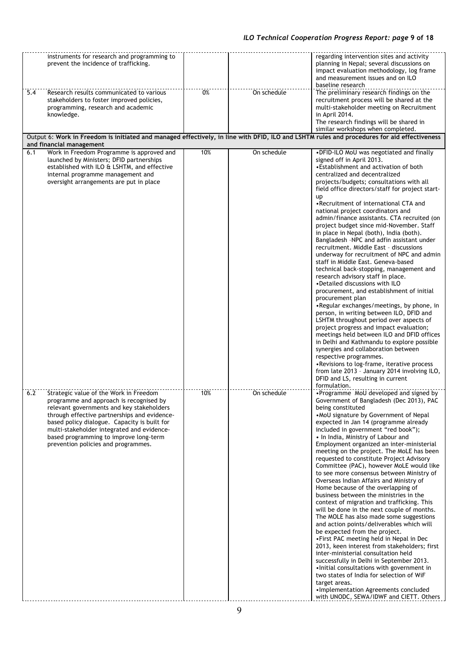## *ILO Technical Cooperation Progress Report: page* **9 of 18**

|     | instruments for research and programming to<br>prevent the incidence of trafficking.                                                                                                                                                                                                                                                                          |     |             | regarding intervention sites and activity<br>planning in Nepal; several discussions on<br>impact evaluation methodology, log frame<br>and measurement issues and on ILO<br>baseline research                                                                                                                                                                                                                                                                                                                                                                                                                                                                                                                                                                                                                                                                                                                                                                                                                                                                                                                                                                                                                                                                                                                                                 |
|-----|---------------------------------------------------------------------------------------------------------------------------------------------------------------------------------------------------------------------------------------------------------------------------------------------------------------------------------------------------------------|-----|-------------|----------------------------------------------------------------------------------------------------------------------------------------------------------------------------------------------------------------------------------------------------------------------------------------------------------------------------------------------------------------------------------------------------------------------------------------------------------------------------------------------------------------------------------------------------------------------------------------------------------------------------------------------------------------------------------------------------------------------------------------------------------------------------------------------------------------------------------------------------------------------------------------------------------------------------------------------------------------------------------------------------------------------------------------------------------------------------------------------------------------------------------------------------------------------------------------------------------------------------------------------------------------------------------------------------------------------------------------------|
| 5.4 | Research results communicated to various<br>stakeholders to foster improved policies,<br>programming, research and academic<br>knowledge.                                                                                                                                                                                                                     | 0%  | On schedule | The preliminary research findings on the<br>recruitment process will be shared at the<br>multi-stakeholder meeting on Recruitment<br>in April 2014.<br>The research findings will be shared in<br>similar workshops when completed.                                                                                                                                                                                                                                                                                                                                                                                                                                                                                                                                                                                                                                                                                                                                                                                                                                                                                                                                                                                                                                                                                                          |
|     | Output 6: Work in Freedom is initiated and managed effectively, in line with DFID, ILO and LSHTM rules and procedures for aid effectiveness<br>and financial management                                                                                                                                                                                       |     |             |                                                                                                                                                                                                                                                                                                                                                                                                                                                                                                                                                                                                                                                                                                                                                                                                                                                                                                                                                                                                                                                                                                                                                                                                                                                                                                                                              |
| 6.1 | Work in Freedom Programme is approved and<br>launched by Ministers; DFID partnerships<br>established with ILO & LSHTM, and effective<br>internal programme management and<br>oversight arrangements are put in place                                                                                                                                          | 10% | On schedule | .DFID-ILO MoU was negotiated and finally<br>signed off in April 2013.<br>•Establishment and activation of both<br>centralized and decentralized<br>projects/budgets; consultations with all<br>field office directors/staff for project start-<br><b>up</b><br>• Recruitment of international CTA and<br>national project coordinators and<br>admin/finance assistants. CTA recruited (on<br>project budget since mid-November. Staff<br>in place in Nepal (both), India (both).<br>Bangladesh -NPC and adfin assistant under<br>recruitment. Middle East - discussions<br>underway for recruitment of NPC and admin<br>staff in Middle East. Geneva-based<br>technical back-stopping, management and<br>research advisory staff in place.<br>•Detailed discussions with ILO<br>procurement, and establishment of initial<br>procurement plan<br>•Regular exchanges/meetings, by phone, in<br>person, in writing between ILO, DFID and<br>LSHTM throughout period over aspects of<br>project progress and impact evaluation;<br>meetings held between ILO and DFID offices<br>in Delhi and Kathmandu to explore possible<br>synergies and collaboration between<br>respective programmes.<br>•Revisions to log-frame, iterative process<br>from late 2013 - January 2014 involving ILO,<br>DFID and LS, resulting in current<br>formulation. |
| 6.2 | Strategic value of the Work in Freedom<br>programme and approach is recognised by<br>relevant governments and key stakeholders<br>through effective partnerships and evidence-<br>based policy dialogue. Capacity is built for<br>multi-stakeholder integrated and evidence-<br>based programming to improve long-term<br>prevention policies and programmes. | 10% | On schedule | .Programme MoU developed and signed by<br>Government of Bangladesh (Dec 2013), PAC<br>being constituted<br>•MoU signature by Government of Nepal<br>expected in Jan 14 (programme already<br>included in government "red book");<br>• In India, Ministry of Labour and<br>Employment organized an inter-ministerial<br>meeting on the project. The MoLE has been<br>requested to constitute Project Advisory<br>Committee (PAC), however MoLE would like<br>to see more consensus between Ministry of<br>Overseas Indian Affairs and Ministry of<br>Home because of the overlapping of<br>business between the ministries in the<br>context of migration and trafficking. This<br>will be done in the next couple of months.<br>The MOLE has also made some suggestions<br>and action points/deliverables which will<br>be expected from the project.<br>•First PAC meeting held in Nepal in Dec<br>2013, keen interest from stakeholders; first<br>inter-ministerial consultation held<br>successfully in Delhi in September 2013.<br>•Initial consultations with government in<br>two states of India for selection of WiF<br>target areas.<br>·Implementation Agreements concluded<br>with UNODC, SEWA/IDWF and CIETT. Others                                                                                                             |